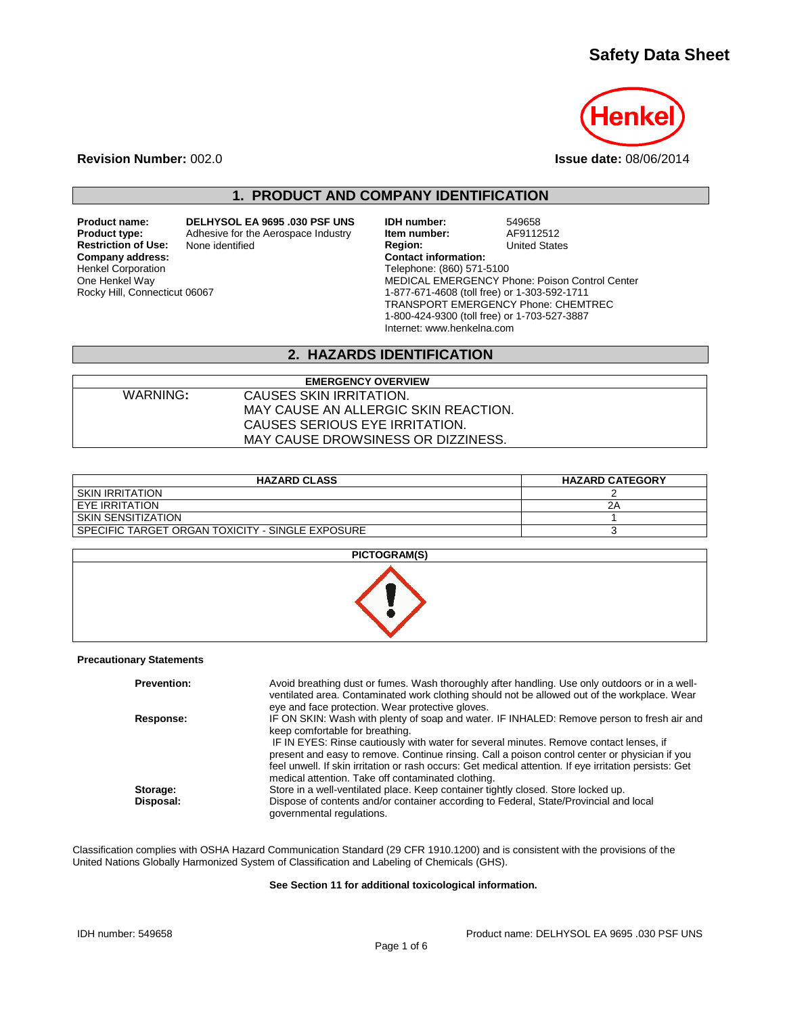# **Safety Data Sheet**



**Revision Number:** 002.0 **Issue date:** 08/06/2014

# **1. PRODUCT AND COMPANY IDENTIFICATION**

**Restriction of Use:**<br>Company address: Henkel Corporation One Henkel Way Rocky Hill, Connecticut 06067

**Product name: DELHYSOL EA 9695 .030 PSF UNS IDH number:** 549658<br>**Product type:** Adhesive for the Aerospace Industry **Item number:** AF9112512 **Product type:** Adhesive for the Aerospace Industry **Item number:** AF9112512<br> **Product Region:** Contract United States **Company address: Contact information:** Telephone: (860) 571-5100 MEDICAL EMERGENCY Phone: Poison Control Center 1-877-671-4608 (toll free) or 1-303-592-1711 TRANSPORT EMERGENCY Phone: CHEMTREC 1-800-424-9300 (toll free) or 1-703-527-3887 Internet: www.henkelna.com

### **2. HAZARDS IDENTIFICATION**

| <b>EMERGENCY OVERVIEW</b> |                                      |  |  |
|---------------------------|--------------------------------------|--|--|
| WARNING:                  | CAUSES SKIN IRRITATION.              |  |  |
|                           | MAY CAUSE AN ALLERGIC SKIN REACTION. |  |  |
|                           | CAUSES SERIOUS EYE IRRITATION.       |  |  |
|                           | MAY CAUSE DROWSINESS OR DIZZINESS.   |  |  |

| <b>HAZARD CLASS</b>                              | <b>HAZARD CATEGORY</b> |
|--------------------------------------------------|------------------------|
| <b>SKIN IRRITATION</b>                           |                        |
| EYE IRRITATION                                   | 2Α                     |
| SKIN SENSITIZATION                               |                        |
| SPECIFIC TARGET ORGAN TOXICITY - SINGLE EXPOSURE |                        |

| <b>PICTOGRAM(S)</b> |  |
|---------------------|--|
|                     |  |

#### **Precautionary Statements**

| <b>Prevention:</b> | Avoid breathing dust or fumes. Wash thoroughly after handling. Use only outdoors or in a well-<br>ventilated area. Contaminated work clothing should not be allowed out of the workplace. Wear<br>eye and face protection. Wear protective gloves.             |
|--------------------|----------------------------------------------------------------------------------------------------------------------------------------------------------------------------------------------------------------------------------------------------------------|
| Response:          | IF ON SKIN: Wash with plenty of soap and water. IF INHALED: Remove person to fresh air and<br>keep comfortable for breathing.<br>IF IN EYES: Rinse cautiously with water for several minutes. Remove contact lenses, if                                        |
|                    | present and easy to remove. Continue rinsing. Call a poison control center or physician if you<br>feel unwell. If skin irritation or rash occurs: Get medical attention. If eye irritation persists: Get<br>medical attention. Take off contaminated clothing. |
| Storage:           | Store in a well-ventilated place. Keep container tightly closed. Store locked up.                                                                                                                                                                              |
| Disposal:          | Dispose of contents and/or container according to Federal, State/Provincial and local<br>governmental regulations.                                                                                                                                             |

Classification complies with OSHA Hazard Communication Standard (29 CFR 1910.1200) and is consistent with the provisions of the United Nations Globally Harmonized System of Classification and Labeling of Chemicals (GHS).

#### **See Section 11 for additional toxicological information.**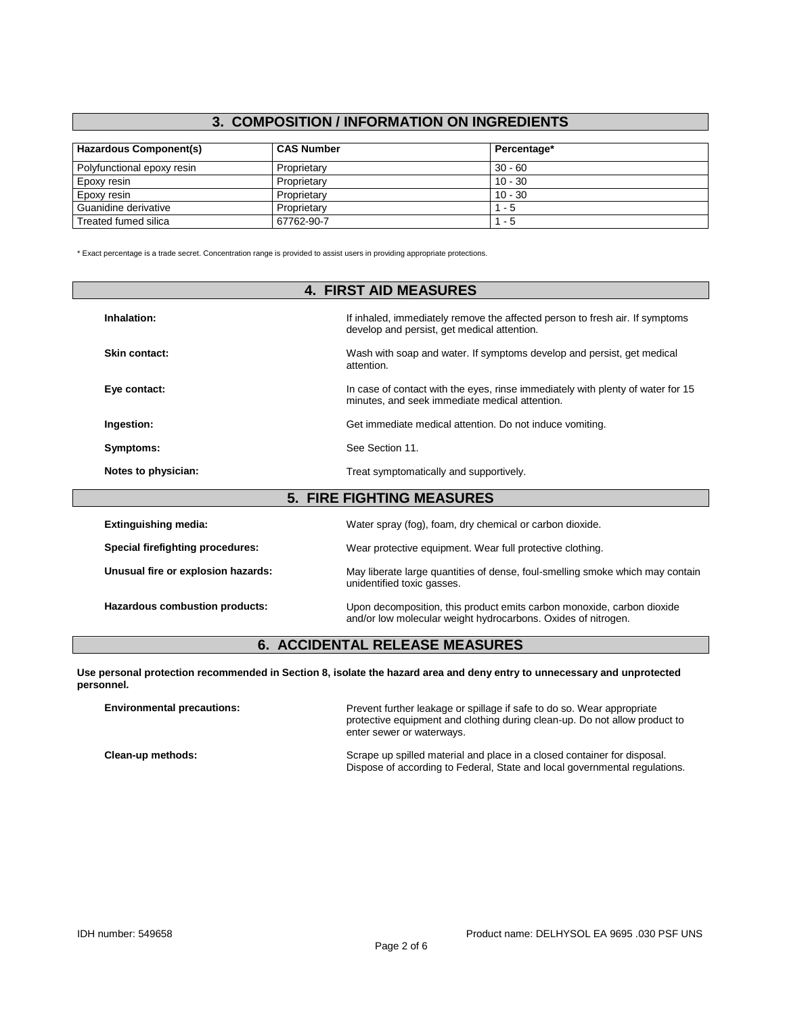# **3. COMPOSITION / INFORMATION ON INGREDIENTS**

| Hazardous Component(s)     | <b>CAS Number</b> | Percentage* |
|----------------------------|-------------------|-------------|
| Polyfunctional epoxy resin | Proprietary       | $30 - 60$   |
| Epoxy resin                | Proprietary       | $10 - 30$   |
| Epoxy resin                | Proprietary       | $10 - 30$   |
| Guanidine derivative       | Proprietary       | $1 - 5$     |
| Treated fumed silica       | 67762-90-7        | $1 - 5$     |

\* Exact percentage is a trade secret. Concentration range is provided to assist users in providing appropriate protections.

| <b>4. FIRST AID MEASURES</b>                                                                                 |                                                                                                                                   |  |  |
|--------------------------------------------------------------------------------------------------------------|-----------------------------------------------------------------------------------------------------------------------------------|--|--|
| Inhalation:                                                                                                  | If inhaled, immediately remove the affected person to fresh air. If symptoms<br>develop and persist, get medical attention.       |  |  |
| <b>Skin contact:</b><br>Wash with soap and water. If symptoms develop and persist, get medical<br>attention. |                                                                                                                                   |  |  |
| Eye contact:                                                                                                 | In case of contact with the eyes, rinse immediately with plenty of water for 15<br>minutes, and seek immediate medical attention. |  |  |
| Ingestion:                                                                                                   | Get immediate medical attention. Do not induce vomiting.                                                                          |  |  |
| Symptoms:                                                                                                    | See Section 11.                                                                                                                   |  |  |
| Notes to physician:                                                                                          | Treat symptomatically and supportively.                                                                                           |  |  |
|                                                                                                              | <b>5. FIRE FIGHTING MEASURES</b>                                                                                                  |  |  |
| <b>Extinguishing media:</b>                                                                                  | Water spray (fog), foam, dry chemical or carbon dioxide.                                                                          |  |  |
| Special firefighting procedures:                                                                             | Wear protective equipment. Wear full protective clothing.                                                                         |  |  |
| Unusual fire or explosion hazards:                                                                           | May liberate large quantities of dense, foul-smelling smoke which may contain<br>unidentified toxic gasses.                       |  |  |

Hazardous combustion products: Upon decomposition, this product emits carbon monoxide, carbon dioxide and/or low molecular weight hydrocarbons. Oxides of nitrogen.

### **6. ACCIDENTAL RELEASE MEASURES**

**Use personal protection recommended in Section 8, isolate the hazard area and deny entry to unnecessary and unprotected personnel.**

| <b>Environmental precautions:</b> | Prevent further leakage or spillage if safe to do so. Wear appropriate<br>protective equipment and clothing during clean-up. Do not allow product to<br>enter sewer or waterways. |
|-----------------------------------|-----------------------------------------------------------------------------------------------------------------------------------------------------------------------------------|
| Clean-up methods:                 | Scrape up spilled material and place in a closed container for disposal.<br>Dispose of according to Federal, State and local governmental regulations.                            |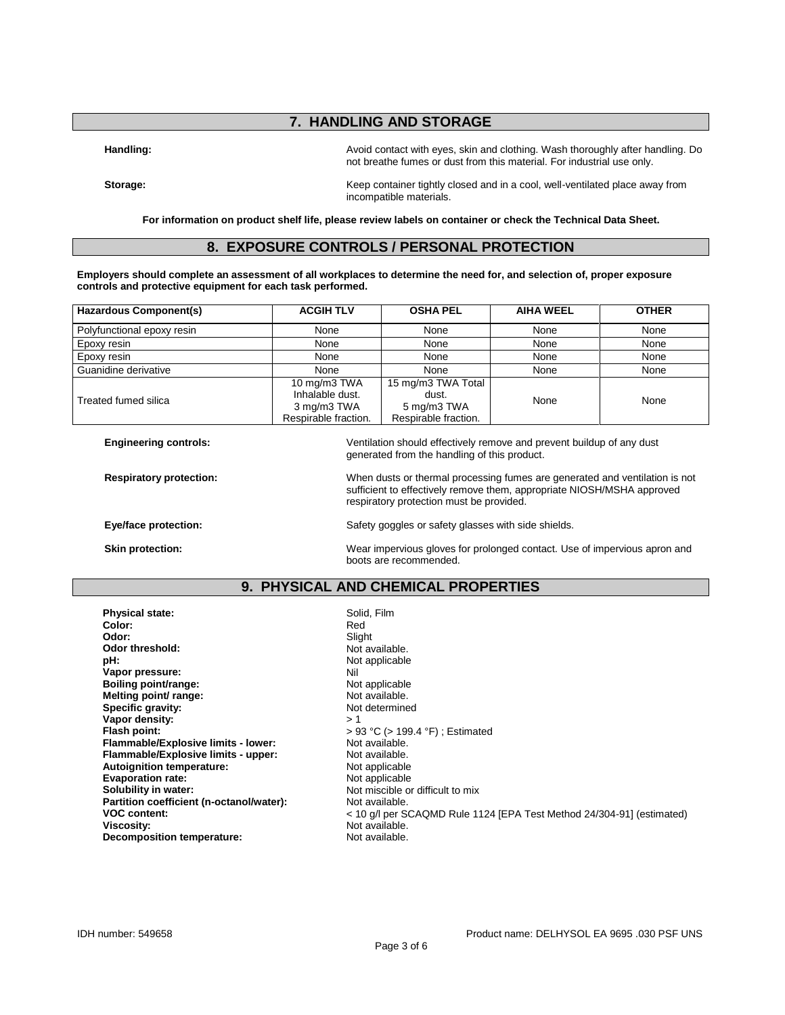## **7. HANDLING AND STORAGE**

**Handling:** Avoid contact with eyes, skin and clothing. Wash thoroughly after handling. Do not breathe fumes or dust from this material. For industrial use only.

**Storage:** Keep container tightly closed and in a cool, well-ventilated place away from incompatible materials.

**For information on product shelf life, please review labels on container or check the Technical Data Sheet.**

## **8. EXPOSURE CONTROLS / PERSONAL PROTECTION**

**Employers should complete an assessment of all workplaces to determine the need for, and selection of, proper exposure controls and protective equipment for each task performed.**

| Hazardous Component(s)     | <b>ACGIH TLV</b>                                                       | <b>OSHA PEL</b>                                                    | <b>AIHA WEEL</b> | <b>OTHER</b> |
|----------------------------|------------------------------------------------------------------------|--------------------------------------------------------------------|------------------|--------------|
| Polyfunctional epoxy resin | None                                                                   | None                                                               | None             | None         |
| Epoxy resin                | None                                                                   | None                                                               | None             | None         |
| Epoxy resin                | None                                                                   | None                                                               | None             | None         |
| Guanidine derivative       | None                                                                   | None                                                               | None             | None         |
| Treated fumed silica       | 10 mg/m3 TWA<br>Inhalable dust.<br>3 mg/m3 TWA<br>Respirable fraction. | 15 mg/m3 TWA Total<br>dust.<br>5 mg/m3 TWA<br>Respirable fraction. | None             | None         |

**Engineering controls:** Ventilation should effectively remove and prevent buildup of any dust generated from the handling of this product.

**Respiratory protection:** When dusts or thermal processing fumes are generated and ventilation is not sufficient to effectively remove them, appropriate NIOSH/MSHA approved

**Eye/face protection:** Safety goggles or safety glasses with side shields.

respiratory protection must be provided.

**Skin protection:** Wear impervious gloves for prolonged contact. Use of impervious apron and boots are recommended.

### **9. PHYSICAL AND CHEMICAL PROPERTIES**

**Physical state:** Solid, Film Color: **Solid, Film** Color: **Color:** Red **Odor:** Slight **Odor threshold:** Not available.<br> **pH:** Not applicable. **Vapor pressure:** Nil approximation of the Mill and Distribution of the Nil applicable of the Nil applicable of the Nil applicable of the Nil applicable of the Nil applicable of the Nil applicable of the Nil applicable of **Boiling point/range:** Not applicable<br> **Melting point/ range:** Not available. **Melting point/ range:** Not available.<br> **Specific aravity:** Not determined **Specific gravity: Vapor density:**  $>1$ <br>Flash point:  $>9$ **Flammable/Explosive limits - lower:** Not available.<br> **Flammable/Explosive limits - upper:** Not available. **Flammable/Explosive limits - upper:** Not available.<br> **Autoignition temperature:** Not applicable **Autoignition temperature:** Not applicable<br> **Evaporation rate:** Not applicable **Evaporation rate:**<br>Solubility in water: Partition coefficient (n-octanol/water):<br>VOC content: **Decomposition temperature:** Not available.

Not applicable<br>Nil **Flash point:** > 93 °C (> 199.4 °F) ; Estimated Not miscible or difficult to mix<br>Not available. **VOC content:**  $\le$  10 g/l per SCAQMD Rule 1124 [EPA Test Method 24/304-91] (estimated)<br>Viscosity: Not available. **Viscosity:** Not available.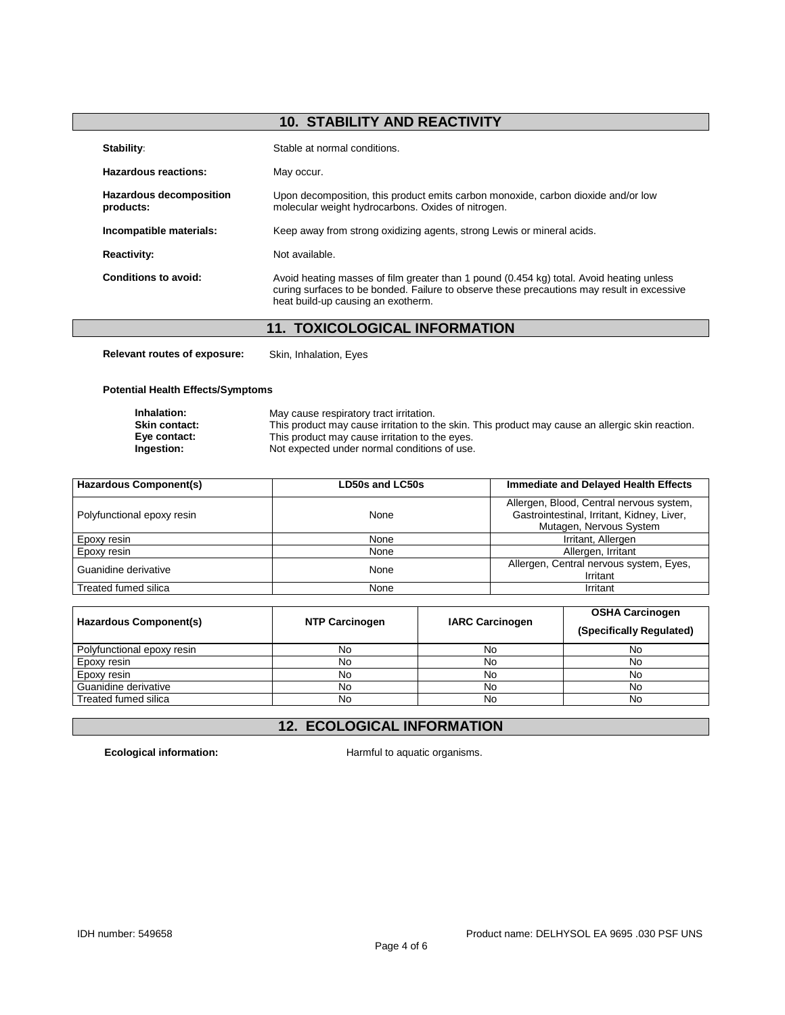# **10. STABILITY AND REACTIVITY**

| Stability:                                  | Stable at normal conditions.                                                                                                                                                                                                 |
|---------------------------------------------|------------------------------------------------------------------------------------------------------------------------------------------------------------------------------------------------------------------------------|
| Hazardous reactions:                        | May occur.                                                                                                                                                                                                                   |
| <b>Hazardous decomposition</b><br>products: | Upon decomposition, this product emits carbon monoxide, carbon dioxide and/or low<br>molecular weight hydrocarbons. Oxides of nitrogen.                                                                                      |
| Incompatible materials:                     | Keep away from strong oxidizing agents, strong Lewis or mineral acids.                                                                                                                                                       |
| <b>Reactivity:</b>                          | Not available.                                                                                                                                                                                                               |
| Conditions to avoid:                        | Avoid heating masses of film greater than 1 pound (0.454 kg) total. Avoid heating unless<br>curing surfaces to be bonded. Failure to observe these precautions may result in excessive<br>heat build-up causing an exotherm. |

# **11. TOXICOLOGICAL INFORMATION**

**Relevant routes of exposure:** Skin, Inhalation, Eyes

#### **Potential Health Effects/Symptoms**

| Inhalation:          | May cause respiratory tract irritation.                                                          |
|----------------------|--------------------------------------------------------------------------------------------------|
| <b>Skin contact:</b> | This product may cause irritation to the skin. This product may cause an allergic skin reaction. |
| Eye contact:         | This product may cause irritation to the eyes.                                                   |
| Ingestion:           | Not expected under normal conditions of use.                                                     |

| <b>Hazardous Component(s)</b> | <b>LD50s and LC50s</b> | Immediate and Delayed Health Effects                                                                              |  |
|-------------------------------|------------------------|-------------------------------------------------------------------------------------------------------------------|--|
| Polyfunctional epoxy resin    | None                   | Allergen, Blood, Central nervous system,<br>Gastrointestinal, Irritant, Kidney, Liver,<br>Mutagen, Nervous System |  |
| Epoxy resin                   | None                   | Irritant, Allergen                                                                                                |  |
| Epoxy resin                   | None                   | Allergen, Irritant                                                                                                |  |
| Guanidine derivative          | None                   | Allergen, Central nervous system, Eyes,<br>Irritant                                                               |  |
| Treated fumed silica          | None                   | Irritant                                                                                                          |  |

| Hazardous Component(s)     | <b>NTP Carcinogen</b> | <b>IARC Carcinogen</b> | <b>OSHA Carcinogen</b><br>(Specifically Regulated) |
|----------------------------|-----------------------|------------------------|----------------------------------------------------|
| Polyfunctional epoxy resin | No                    | No                     | No                                                 |
| Epoxy resin                | No                    | No                     | No                                                 |
| Epoxy resin                | No                    | No                     | No                                                 |
| Guanidine derivative       | No                    | No                     | No                                                 |
| Treated fumed silica       | No                    | No                     | No                                                 |

# **12. ECOLOGICAL INFORMATION**

**Ecological information:** Harmful to aquatic organisms.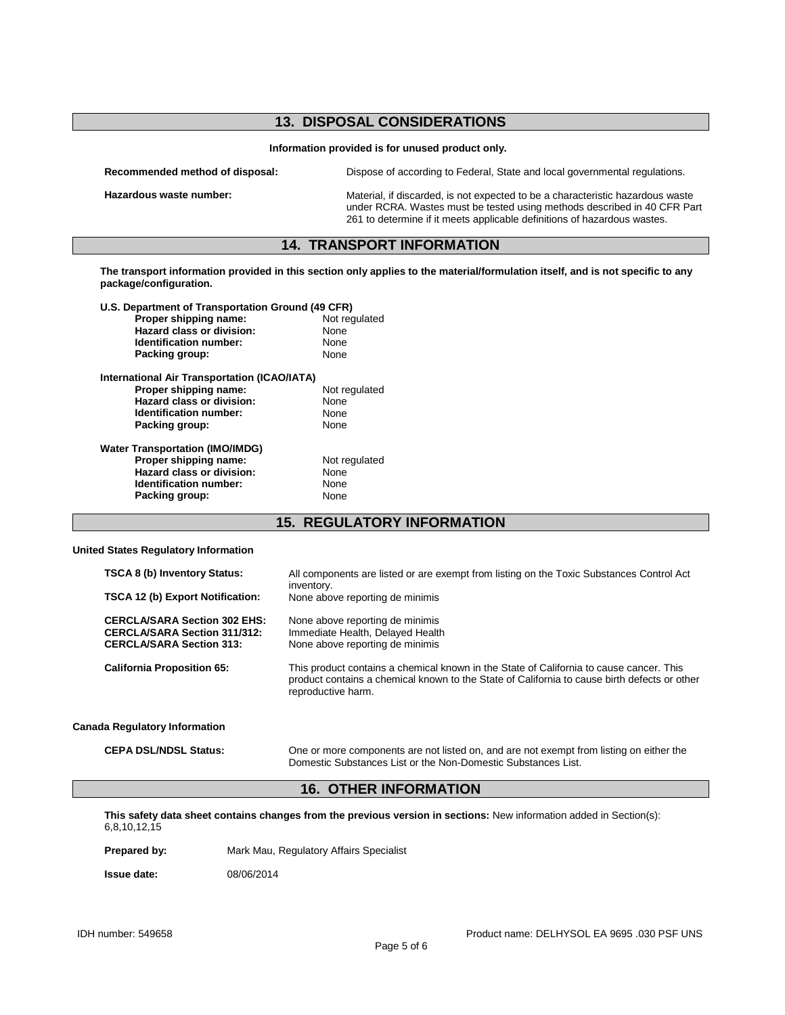### **13. DISPOSAL CONSIDERATIONS**

**Information provided is for unused product only.**

| Recommended method of disposal: | Dispose of according to Federal, State and local governmental regulations.                                                                                                                                                             |
|---------------------------------|----------------------------------------------------------------------------------------------------------------------------------------------------------------------------------------------------------------------------------------|
| Hazardous waste number:         | Material, if discarded, is not expected to be a characteristic hazardous waste<br>under RCRA. Wastes must be tested using methods described in 40 CFR Part<br>261 to determine if it meets applicable definitions of hazardous wastes. |

### **14. TRANSPORT INFORMATION**

**The transport information provided in this section only applies to the material/formulation itself, and is not specific to any package/configuration.**

| U.S. Department of Transportation Ground (49 CFR) |               |  |
|---------------------------------------------------|---------------|--|
| Proper shipping name:                             | Not regulated |  |
| Hazard class or division:                         | None          |  |
| Identification number:                            | None          |  |
| Packing group:                                    | None          |  |
| International Air Transportation (ICAO/IATA)      |               |  |
| Proper shipping name:                             | Not regulated |  |
| Hazard class or division:                         | None          |  |
| Identification number:                            | None          |  |
| Packing group:                                    | None          |  |
| <b>Water Transportation (IMO/IMDG)</b>            |               |  |
| Proper shipping name:                             | Not regulated |  |
| Hazard class or division:                         | None          |  |
| Identification number:                            | None          |  |
| Packing group:                                    | None          |  |

**15. REGULATORY INFORMATION**

#### **United States Regulatory Information**

| <b>TSCA 8 (b) Inventory Status:</b><br><b>TSCA 12 (b) Export Notification:</b>                                | All components are listed or are exempt from listing on the Toxic Substances Control Act<br>inventory.<br>None above reporting de minimis                                                                     |
|---------------------------------------------------------------------------------------------------------------|---------------------------------------------------------------------------------------------------------------------------------------------------------------------------------------------------------------|
| <b>CERCLA/SARA Section 302 EHS:</b><br><b>CERCLA/SARA Section 311/312:</b><br><b>CERCLA/SARA Section 313:</b> | None above reporting de minimis<br>Immediate Health, Delayed Health<br>None above reporting de minimis                                                                                                        |
| <b>California Proposition 65:</b>                                                                             | This product contains a chemical known in the State of California to cause cancer. This<br>product contains a chemical known to the State of California to cause birth defects or other<br>reproductive harm. |
| <b>Canada Regulatory Information</b>                                                                          |                                                                                                                                                                                                               |

**CEPA DSL/NDSL Status:** One or more components are not listed on, and are not exempt from listing on either the Domestic Substances List or the Non-Domestic Substances List.

## **16. OTHER INFORMATION**

**This safety data sheet contains changes from the previous version in sections:** New information added in Section(s): 6,8,10,12,15

Prepared by: Mark Mau, Regulatory Affairs Specialist

**Issue date:** 08/06/2014